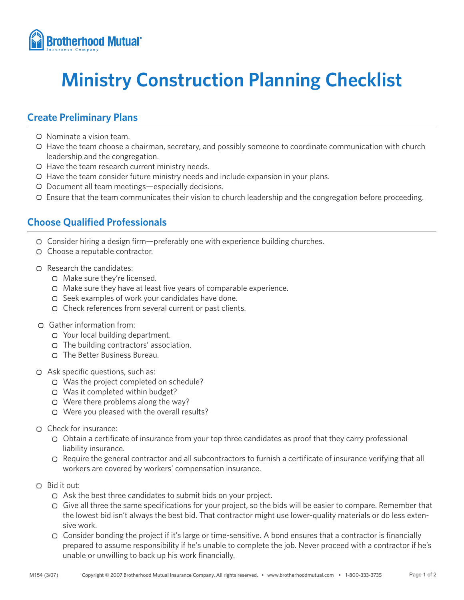

# **Ministry Construction Planning Checklist**

## **Create Preliminary Plans**

- Nominate a vision team.
- Have the team choose a chairman, secretary, and possibly someone to coordinate communication with church leadership and the congregation.
- O Have the team research current ministry needs.
- $\Box$  Have the team consider future ministry needs and include expansion in your plans.
- Document all team meetings—especially decisions.
- Ensure that the team communicates their vision to church leadership and the congregation before proceeding.

# **Choose Qualified Professionals**

- Consider hiring a design firm—preferably one with experience building churches.
- Choose a reputable contractor.
- Research the candidates:
	- Make sure they're licensed.
	- Make sure they have at least five years of comparable experience.
	- $\Box$  Seek examples of work your candidates have done.
	- Check references from several current or past clients.
- Gather information from:
	- Your local building department.
	- The building contractors' association.
	- The Better Business Bureau.
- Ask specific questions, such as:
	- Was the project completed on schedule?
	- Was it completed within budget?
	- Were there problems along the way?
	- O Were you pleased with the overall results?
- Check for insurance:
	- $\Box$  Obtain a certificate of insurance from your top three candidates as proof that they carry professional liability insurance.
	- Require the general contractor and all subcontractors to furnish a certificate of insurance verifying that all workers are covered by workers' compensation insurance.
- Bid it out:
	- Ask the best three candidates to submit bids on your project.
	- Give all three the same specifications for your project, so the bids will be easier to compare. Remember that the lowest bid isn't always the best bid. That contractor might use lower-quality materials or do less extensive work.
	- Consider bonding the project if it's large or time-sensitive. A bond ensures that a contractor is financially prepared to assume responsibility if he's unable to complete the job. Never proceed with a contractor if he's unable or unwilling to back up his work financially.